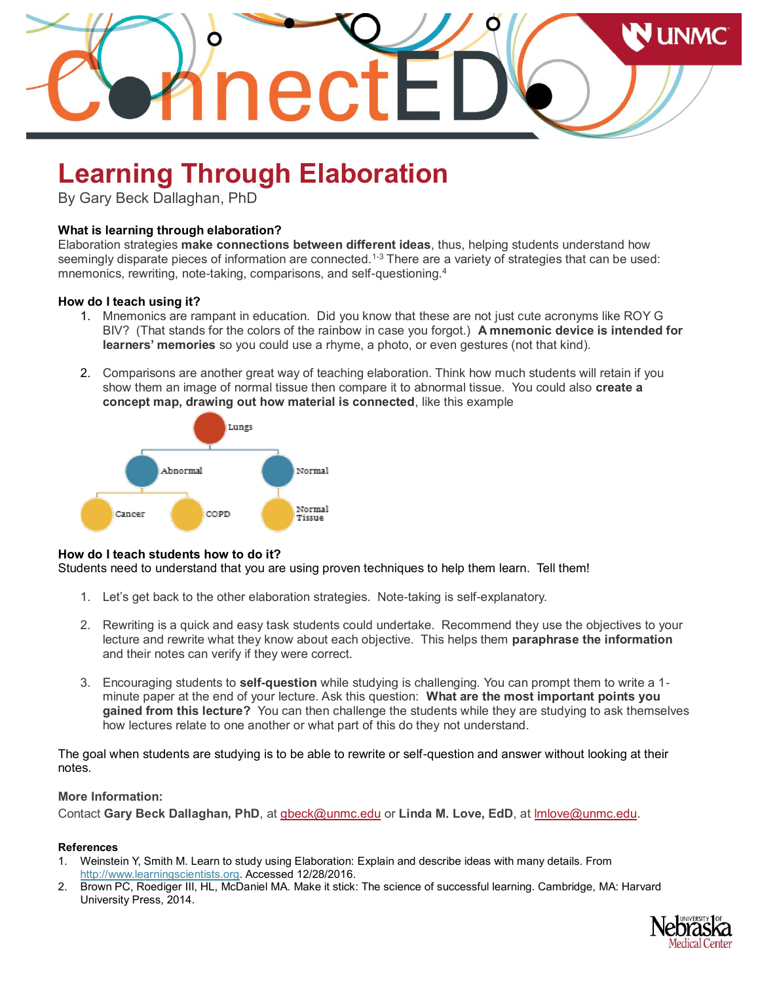

# **Learning Through Elaboration**

By Gary Beck Dallaghan, PhD

### **What is learning through elaboration?**

Elaboration strategies **make connections between different ideas**, thus, helping students understand how seemingly disparate pieces of information are connected.<sup>1-3</sup> There are a variety of strategies that can be used: mnemonics, rewriting, note-taking, comparisons, and self-questioning.<sup>4</sup>

#### **How do I teach using it?**

- 1. Mnemonics are rampant in education. Did you know that these are not just cute acronyms like ROY G BIV? (That stands for the colors of the rainbow in case you forgot.) **A mnemonic device is intended for learners' memories** so you could use a rhyme, a photo, or even gestures (not that kind).
- 2. Comparisons are another great way of teaching elaboration. Think how much students will retain if you show them an image of normal tissue then compare it to abnormal tissue. You could also **create a concept map, drawing out how material is connected**, like this example



#### **How do I teach students how to do it?**

Students need to understand that you are using proven techniques to help them learn. Tell them!

- 1. Let's get back to the other elaboration strategies. Note-taking is self-explanatory.
- 2. Rewriting is a quick and easy task students could undertake. Recommend they use the objectives to your lecture and rewrite what they know about each objective. This helps them **paraphrase the information** and their notes can verify if they were correct.
- 3. Encouraging students to **self-question** while studying is challenging. You can prompt them to write a 1 minute paper at the end of your lecture. Ask this question: **What are the most important points you gained from this lecture?** You can then challenge the students while they are studying to ask themselves how lectures relate to one another or what part of this do they not understand.

The goal when students are studying is to be able to rewrite or self-question and answer without looking at their notes.

## **More Information:**

Contact **Gary Beck Dallaghan, PhD**, at [gbeck@unmc.edu](mailto:gbeck@unmc.edu) or **Linda M. Love, EdD**, at [lmlove@unmc.edu.](mailto:lmlove@unmc.edu)

#### **References**

- 1. Weinstein Y, Smith M. Learn to study using Elaboration: Explain and describe ideas with many details. From [http://www.learningscientists.org.](http://www.learningscientists.org/) Accessed 12/28/2016.
- 2. Brown PC, Roediger III, HL, McDaniel MA. Make it stick: The science of successful learning. Cambridge, MA: Harvard University Press, 2014.